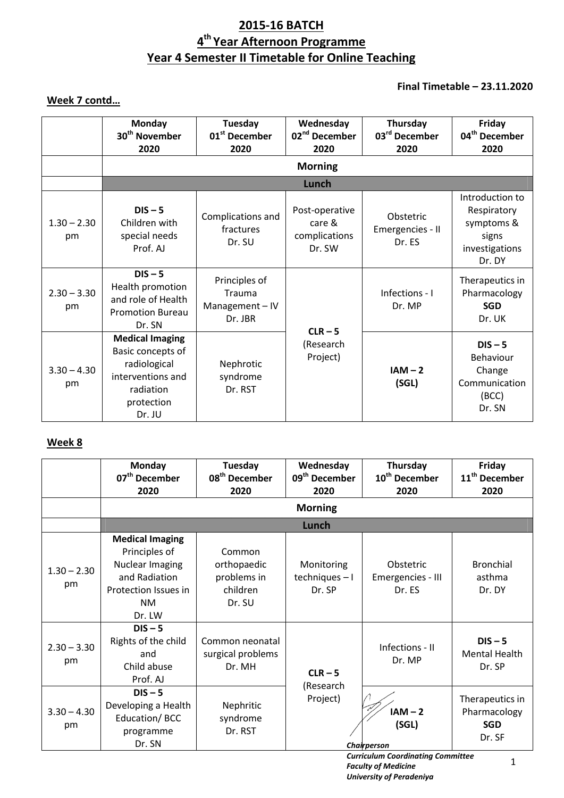# **2015-16 BATCH 4 th Year Afternoon Programme Year 4 Semester II Timetable for Online Teaching**

# **Final Timetable – 23.11.2020**

# **Week 7 contd…**

|                     | <b>Monday</b><br>30 <sup>th</sup> November<br>2020                                                                    | Tuesday<br>01 <sup>st</sup> December<br>2020        | Wednesday<br>02 <sup>nd</sup> December<br>2020      | Thursday<br>03rd December<br>2020       | Friday<br>04 <sup>th</sup> December<br>2020                                       |
|---------------------|-----------------------------------------------------------------------------------------------------------------------|-----------------------------------------------------|-----------------------------------------------------|-----------------------------------------|-----------------------------------------------------------------------------------|
|                     |                                                                                                                       |                                                     | <b>Morning</b>                                      |                                         |                                                                                   |
|                     |                                                                                                                       |                                                     | mman                                                |                                         |                                                                                   |
| $1.30 - 2.30$<br>pm | $DIS - 5$<br>Children with<br>special needs<br>Prof. AJ                                                               | Complications and<br>fractures<br>Dr. SU            | Post-operative<br>care &<br>complications<br>Dr. SW | Obstetric<br>Emergencies - II<br>Dr. ES | Introduction to<br>Respiratory<br>symptoms &<br>signs<br>investigations<br>Dr. DY |
| $2.30 - 3.30$<br>pm | $DIS - 5$<br>Health promotion<br>and role of Health<br><b>Promotion Bureau</b><br>Dr. SN                              | Principles of<br>Trauma<br>Management-IV<br>Dr. JBR |                                                     | Infections - I<br>Dr. MP                | Therapeutics in<br>Pharmacology<br><b>SGD</b><br>Dr. UK                           |
| $3.30 - 4.30$<br>pm | <b>Medical Imaging</b><br>Basic concepts of<br>radiological<br>interventions and<br>radiation<br>protection<br>Dr. JU | Nephrotic<br>syndrome<br>Dr. RST                    | $CLR - 5$<br>(Research<br>Project)                  | $IAM - 2$<br>(SGL)                      | $DIS - 5$<br>Behaviour<br>Change<br>Communication<br>(BCC)<br>Dr. SN              |

### **Week 8**

|                     | <b>Monday</b><br>07 <sup>th</sup> December<br>2020                                                                         | Tuesday<br>08 <sup>th</sup> December<br>2020               | Wednesday<br>09 <sup>th</sup> December<br>2020 | Thursday<br>10 <sup>th</sup> December<br>2020 | Friday<br>11 <sup>th</sup> December<br>2020             |
|---------------------|----------------------------------------------------------------------------------------------------------------------------|------------------------------------------------------------|------------------------------------------------|-----------------------------------------------|---------------------------------------------------------|
|                     |                                                                                                                            |                                                            | <b>Morning</b>                                 |                                               |                                                         |
|                     |                                                                                                                            |                                                            | www                                            |                                               |                                                         |
| $1.30 - 2.30$<br>pm | <b>Medical Imaging</b><br>Principles of<br>Nuclear Imaging<br>and Radiation<br>Protection Issues in<br><b>NM</b><br>Dr. LW | Common<br>orthopaedic<br>problems in<br>children<br>Dr. SU | Monitoring<br>$techniques - I$<br>Dr. SP       | Obstetric<br>Emergencies - III<br>Dr. ES      | <b>Bronchial</b><br>asthma<br>Dr. DY                    |
| $2.30 - 3.30$<br>pm | $DIS - 5$<br>Rights of the child<br>and<br>Child abuse<br>Prof. AJ                                                         | Common neonatal<br>surgical problems<br>Dr. MH             | $CLR - 5$<br>(Research                         | Infections - II<br>Dr. MP                     | $DIS - 5$<br><b>Mental Health</b><br>Dr. SP             |
| $3.30 - 4.30$<br>pm | $DIS - 5$<br>Developing a Health<br>Education/BCC<br>programme<br>Dr. SN                                                   | Nephritic<br>syndrome<br>Dr. RST                           | Project)                                       | $IAM - 2$<br>(SGL)<br>Chairperson             | Therapeutics in<br>Pharmacology<br><b>SGD</b><br>Dr. SF |

*Curriculum Coordinating Committee Faculty of Medicine University of Peradeniya*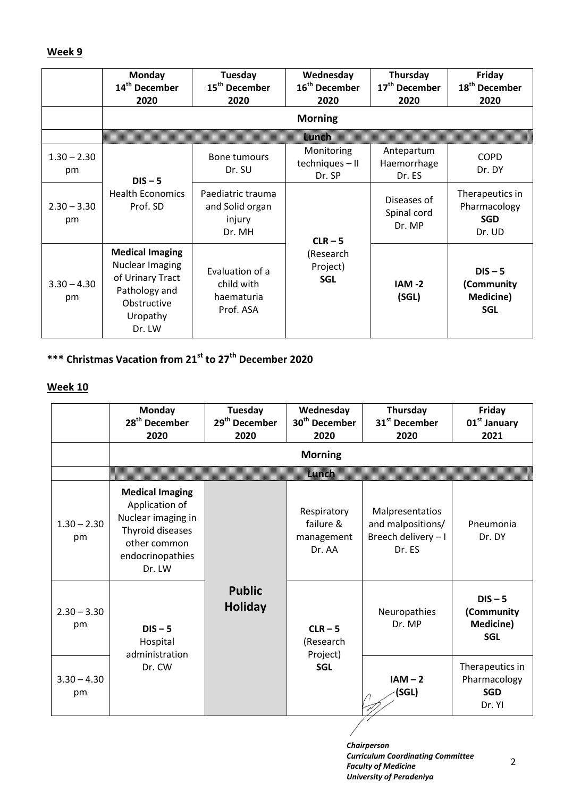### **Week 9**

|                     | Monday<br>14 <sup>th</sup> December<br>2020                                                                                | Tuesday<br>15 <sup>th</sup> December<br>2020             | Wednesday<br>16 <sup>th</sup> December<br>2020 | Thursday<br>17 <sup>th</sup> December<br>2020 | Friday<br>18 <sup>th</sup> December<br>2020             |
|---------------------|----------------------------------------------------------------------------------------------------------------------------|----------------------------------------------------------|------------------------------------------------|-----------------------------------------------|---------------------------------------------------------|
|                     |                                                                                                                            |                                                          | <b>Morning</b>                                 |                                               |                                                         |
|                     |                                                                                                                            |                                                          | man                                            |                                               |                                                         |
| $1.30 - 2.30$<br>pm | $DIS - 5$                                                                                                                  | Bone tumours<br>Dr. SU                                   | Monitoring<br>techniques - II<br>Dr. SP        | Antepartum<br>Haemorrhage<br>Dr. ES           | <b>COPD</b><br>Dr. DY                                   |
| $2.30 - 3.30$<br>pm | <b>Health Economics</b><br>Prof. SD                                                                                        | Paediatric trauma<br>and Solid organ<br>injury<br>Dr. MH | $CLR - 5$                                      | Diseases of<br>Spinal cord<br>Dr. MP          | Therapeutics in<br>Pharmacology<br><b>SGD</b><br>Dr. UD |
| $3.30 - 4.30$<br>pm | <b>Medical Imaging</b><br><b>Nuclear Imaging</b><br>of Urinary Tract<br>Pathology and<br>Obstructive<br>Uropathy<br>Dr. LW | Evaluation of a<br>child with<br>haematuria<br>Prof. ASA | (Research<br>Project)<br><b>SGL</b>            | $IAM -2$<br>(SGL)                             | $DIS - 5$<br>(Community<br>Medicine)<br><b>SGL</b>      |

# **\*\*\* Christmas Vacation from 21st to 27th December 2020**

### **Week 10**

|                     | <b>Monday</b><br>28 <sup>th</sup> December<br>2020                                                                               | Tuesday<br>29 <sup>th</sup> December<br>2020 | Wednesday<br>30 <sup>th</sup> December<br>2020   | Thursday<br>31 <sup>st</sup> December<br>2020                         | Friday<br>01 <sup>st</sup> January<br>2021              |                                                    |
|---------------------|----------------------------------------------------------------------------------------------------------------------------------|----------------------------------------------|--------------------------------------------------|-----------------------------------------------------------------------|---------------------------------------------------------|----------------------------------------------------|
|                     |                                                                                                                                  |                                              | <b>Morning</b>                                   |                                                                       |                                                         |                                                    |
|                     |                                                                                                                                  |                                              | wren                                             |                                                                       |                                                         |                                                    |
| $1.30 - 2.30$<br>pm | <b>Medical Imaging</b><br>Application of<br>Nuclear imaging in<br>Thyroid diseases<br>other common<br>endocrinopathies<br>Dr. LW |                                              | Respiratory<br>failure &<br>management<br>Dr. AA | Malpresentatios<br>and malpositions/<br>Breech delivery - I<br>Dr. ES | Pneumonia<br>Dr. DY                                     |                                                    |
| $2.30 - 3.30$<br>pm | $DIS - 5$<br>Hospital<br>administration                                                                                          | <b>Public</b><br><b>Holiday</b>              |                                                  | $CLR - 5$<br>(Research<br>Project)                                    | Neuropathies<br>Dr. MP                                  | $DIS - 5$<br>(Community<br>Medicine)<br><b>SGL</b> |
| $3.30 - 4.30$<br>pm | Dr. CW                                                                                                                           |                                              | <b>SGL</b>                                       | $IAM - 2$<br>(SGL)                                                    | Therapeutics in<br>Pharmacology<br><b>SGD</b><br>Dr. YI |                                                    |

*Chairperson Curriculum Coordinating Committee Faculty of Medicine University of Peradeniya*